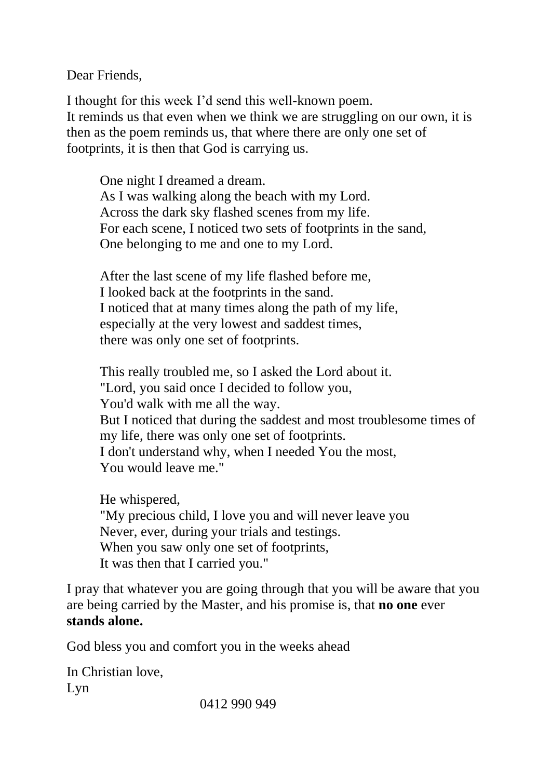Dear Friends,

I thought for this week I'd send this well-known poem. It reminds us that even when we think we are struggling on our own, it is then as the poem reminds us, that where there are only one set of footprints, it is then that God is carrying us.

One night I dreamed a dream. As I was walking along the beach with my Lord. Across the dark sky flashed scenes from my life. For each scene, I noticed two sets of footprints in the sand, One belonging to me and one to my Lord.

After the last scene of my life flashed before me, I looked back at the footprints in the sand. I noticed that at many times along the path of my life, especially at the very lowest and saddest times, there was only one set of footprints.

This really troubled me, so I asked the Lord about it. "Lord, you said once I decided to follow you, You'd walk with me all the way. But I noticed that during the saddest and most troublesome times of my life, there was only one set of footprints. I don't understand why, when I needed You the most, You would leave me."

He whispered, "My precious child, I love you and will never leave you Never, ever, during your trials and testings. When you saw only one set of footprints, It was then that I carried you."

I pray that whatever you are going through that you will be aware that you are being carried by the Master, and his promise is, that **no one** ever **stands alone.**

God bless you and comfort you in the weeks ahead

In Christian love, Lyn

0412 990 949